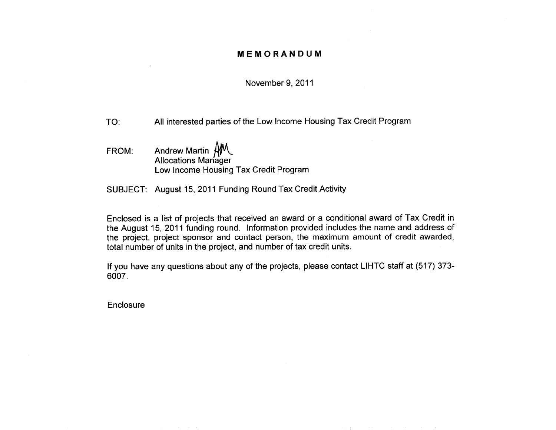## **MEMORANDUM**

### November 9, 2011

- TO: All interested parties of the Low Income Housing Tax Credit Program
- Andrew Martin  $AM$ FROM: Allocations Manager Low Income Housing Tax Credit Program
- SUBJECT: August 15, 2011 Funding Round Tax Credit Activity

Enclosed is a list of projects that received an award or a conditional award of Tax Credit in the August 15, 2011 funding round. Information provided includes the name and address of the project, project sponsor and contact person, the maximum amount of credit awarded, total number of units in the project, and number of tax credit units.

If you have any questions about any of the projects, please contact LIHTC staff at (517) 373-6007.

Enclosure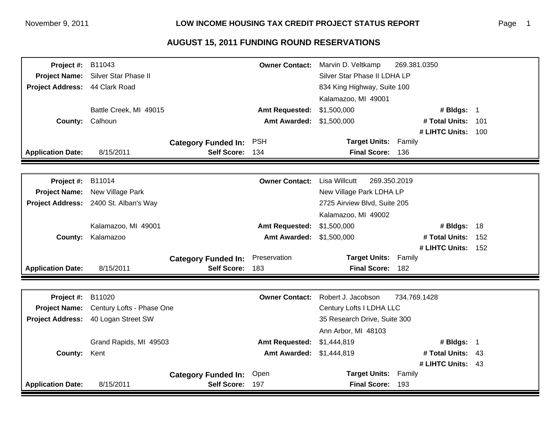# **AUGUST 15, 2011 FUNDING ROUND RESERVATIONS**

| Project #:               | B11043                                               |                            | <b>Owner Contact:</b>    | Marvin D. Veltkamp                   | 269.381.0350       |  |
|--------------------------|------------------------------------------------------|----------------------------|--------------------------|--------------------------------------|--------------------|--|
| <b>Project Name:</b>     | Silver Star Phase II<br>Silver Star Phase II LDHA LP |                            |                          |                                      |                    |  |
| <b>Project Address:</b>  | 44 Clark Road<br>834 King Highway, Suite 100         |                            |                          |                                      |                    |  |
|                          |                                                      |                            |                          | Kalamazoo, MI 49001                  |                    |  |
|                          | Battle Creek, MI 49015                               |                            | <b>Amt Requested:</b>    | \$1,500,000                          | # Bldgs: 1         |  |
| <b>County:</b>           | Calhoun                                              |                            | <b>Amt Awarded:</b>      | \$1,500,000                          | # Total Units: 101 |  |
|                          |                                                      |                            |                          |                                      | # LIHTC Units: 100 |  |
|                          |                                                      | <b>Category Funded In:</b> | <b>PSH</b>               | <b>Target Units: Family</b>          |                    |  |
| <b>Application Date:</b> | 8/15/2011                                            | Self Score: 134            |                          | Final Score: 136                     |                    |  |
|                          |                                                      |                            |                          |                                      |                    |  |
| Project #:               | B11014                                               |                            | <b>Owner Contact:</b>    | <b>Lisa Willcutt</b><br>269.350.2019 |                    |  |
| <b>Project Name:</b>     | New Village Park<br>New Village Park LDHA LP         |                            |                          |                                      |                    |  |
| <b>Project Address:</b>  | 2400 St. Alban's Way                                 |                            |                          | 2725 Airview Blvd, Suite 205         |                    |  |
|                          |                                                      |                            |                          | Kalamazoo, MI 49002                  |                    |  |
|                          | Kalamazoo, MI 49001                                  |                            | <b>Amt Requested:</b>    | \$1,500,000                          | # Bldgs: 18        |  |
| County:                  | Kalamazoo                                            |                            | <b>Amt Awarded:</b>      | \$1,500,000                          | # Total Units: 152 |  |
|                          |                                                      |                            |                          |                                      | # LIHTC Units: 152 |  |
|                          |                                                      | <b>Category Funded In:</b> | Preservation             | <b>Target Units: Family</b>          |                    |  |
| <b>Application Date:</b> | 8/15/2011                                            | Self Score: 183            |                          | Final Score: 182                     |                    |  |
|                          |                                                      |                            |                          |                                      |                    |  |
| Project #:               | B11020                                               |                            | <b>Owner Contact:</b>    | Robert J. Jacobson                   | 734.769.1428       |  |
| <b>Project Name:</b>     | Century Lofts - Phase One                            |                            | Century Lofts I LDHA LLC |                                      |                    |  |
| <b>Project Address:</b>  | 40 Logan Street SW                                   |                            |                          | 35 Research Drive, Suite 300         |                    |  |
|                          |                                                      |                            |                          | Ann Arbor, MI 48103                  |                    |  |
|                          | Grand Rapids, MI 49503                               |                            | <b>Amt Requested:</b>    | \$1,444,819                          | # Bldgs: 1         |  |
| County:                  | Kent                                                 |                            | <b>Amt Awarded:</b>      | \$1,444,819                          | # Total Units: 43  |  |
|                          |                                                      |                            |                          |                                      | # LIHTC Units: 43  |  |
|                          |                                                      | <b>Category Funded In:</b> | Open                     | <b>Target Units: Family</b>          |                    |  |
| <b>Application Date:</b> | 8/15/2011                                            | Self Score: 197            |                          | Final Score: 193                     |                    |  |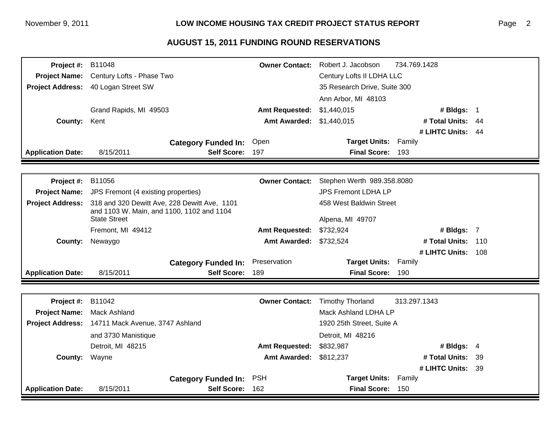## **AUGUST 15, 2011 FUNDING ROUND RESERVATIONS**

| <b>Project #: B11048</b> | <b>Owner Contact:</b>                                            |                            |                           | Robert J. Jacobson           | 734.769.1428       |  |
|--------------------------|------------------------------------------------------------------|----------------------------|---------------------------|------------------------------|--------------------|--|
|                          | Project Name: Century Lofts - Phase Two                          |                            |                           | Century Lofts II LDHA LLC    |                    |  |
|                          | Project Address: 40 Logan Street SW                              |                            |                           | 35 Research Drive, Suite 300 |                    |  |
|                          |                                                                  |                            |                           | Ann Arbor, MI 48103          |                    |  |
|                          | Grand Rapids, MI 49503                                           |                            | <b>Amt Requested:</b>     | \$1,440,015                  | # Bldgs: 1         |  |
| County: Kent             |                                                                  |                            | Amt Awarded: \$1,440,015  |                              | # Total Units: 44  |  |
|                          |                                                                  |                            |                           |                              | # LIHTC Units: 44  |  |
|                          |                                                                  | <b>Category Funded In:</b> | Open                      | <b>Target Units:</b>         | Family             |  |
| <b>Application Date:</b> | 8/15/2011                                                        | <b>Self Score:</b>         | 197                       | <b>Final Score:</b>          | 193                |  |
|                          |                                                                  |                            |                           |                              |                    |  |
| <b>Project #: B11056</b> | <b>Owner Contact:</b>                                            |                            |                           | Stephen Werth 989.358.8080   |                    |  |
|                          | <b>Project Name:</b> JPS Fremont (4 existing properties)         |                            |                           | <b>JPS Fremont LDHA LP</b>   |                    |  |
| <b>Project Address:</b>  | 318 and 320 Dewitt Ave, 228 Dewitt Ave, 1101                     |                            |                           | 458 West Baldwin Street      |                    |  |
|                          | and 1103 W. Main, and 1100, 1102 and 1104<br><b>State Street</b> |                            |                           | Alpena, MI 49707             |                    |  |
|                          | Fremont, MI 49412                                                |                            | <b>Amt Requested:</b>     | \$732,924                    | # Bldgs: 7         |  |
| <b>County:</b>           | Newaygo                                                          |                            | <b>Amt Awarded:</b>       | \$732,524                    | # Total Units: 110 |  |
|                          |                                                                  |                            |                           |                              | # LIHTC Units: 108 |  |
|                          |                                                                  | <b>Category Funded In:</b> | Preservation              | <b>Target Units: Family</b>  |                    |  |
| <b>Application Date:</b> | 8/15/2011                                                        | <b>Self Score:</b>         | 189                       | Final Score: 190             |                    |  |
|                          |                                                                  |                            |                           |                              |                    |  |
| <b>Project #: B11042</b> |                                                                  |                            | <b>Owner Contact:</b>     | <b>Timothy Thorland</b>      | 313.297.1343       |  |
| <b>Project Name:</b>     | <b>Mack Ashland</b>                                              |                            |                           | Mack Ashland LDHA LP         |                    |  |
|                          | Project Address: 14711 Mack Avenue, 3747 Ashland                 |                            | 1920 25th Street, Suite A |                              |                    |  |
|                          | and 3730 Manistique                                              |                            |                           | Detroit, MI 48216            |                    |  |
|                          | Detroit, MI 48215                                                |                            | <b>Amt Requested:</b>     | \$832,987                    | # Bldgs: 4         |  |
| <b>County:</b>           | Wayne                                                            |                            | <b>Amt Awarded:</b>       | \$812,237                    | # Total Units: 39  |  |
|                          |                                                                  |                            |                           |                              | # LIHTC Units: 39  |  |
|                          |                                                                  | <b>Category Funded In:</b> | <b>PSH</b>                | Target Units: Family         |                    |  |
| <b>Application Date:</b> | 8/15/2011                                                        | Self Score: 162            |                           | Final Score: 150             |                    |  |